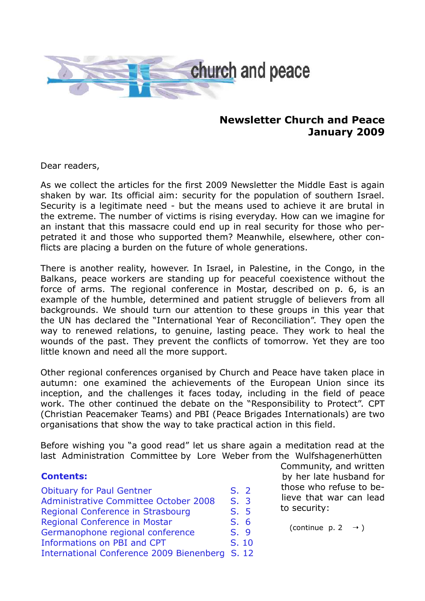

# **Newsletter Church and Peace January 2009**

Dear readers,

As we collect the articles for the first 2009 Newsletter the Middle East is again shaken by war. Its official aim: security for the population of southern Israel. Security is a legitimate need - but the means used to achieve it are brutal in the extreme. The number of victims is rising everyday. How can we imagine for an instant that this massacre could end up in real security for those who perpetrated it and those who supported them? Meanwhile, elsewhere, other conflicts are placing a burden on the future of whole generations.

There is another reality, however. In Israel, in Palestine, in the Congo, in the Balkans, peace workers are standing up for peaceful coexistence without the force of arms. The regional conference in Mostar, described on p. 6, is an example of the humble, determined and patient struggle of believers from all backgrounds. We should turn our attention to these groups in this year that the UN has declared the "International Year of Reconciliation". They open the way to renewed relations, to genuine, lasting peace. They work to heal the wounds of the past. They prevent the conflicts of tomorrow. Yet they are too little known and need all the more support.

Other regional conferences organised by Church and Peace have taken place in autumn: one examined the achievements of the European Union since its inception, and the challenges it faces today, including in the field of peace work. The other continued the debate on the "Responsibility to Protect". CPT (Christian Peacemaker Teams) and PBI (Peace Brigades Internationals) are two organisations that show the way to take practical action in this field.

Before wishing you "a good read" let us share again a meditation read at the last Administration Committee by Lore Weber from the Wulfshagenerhütten

#### **Contents:**

| <b>Obituary for Paul Gentner</b>               | S.2  |       |
|------------------------------------------------|------|-------|
| Administrative Committee October 2008          | S.3  |       |
| Regional Conference in Strasbourg              | S. 5 |       |
| Regional Conference in Mostar                  | S.6  |       |
| Germanophone regional conference               | S. 9 |       |
| Informations on PBI and CPT                    |      | S. 10 |
| International Conference 2009 Bienenberg S. 12 |      |       |

Community, and written by her late husband for those who refuse to believe that war can lead to security:

```
(continue p. 2 \rightarrow)
```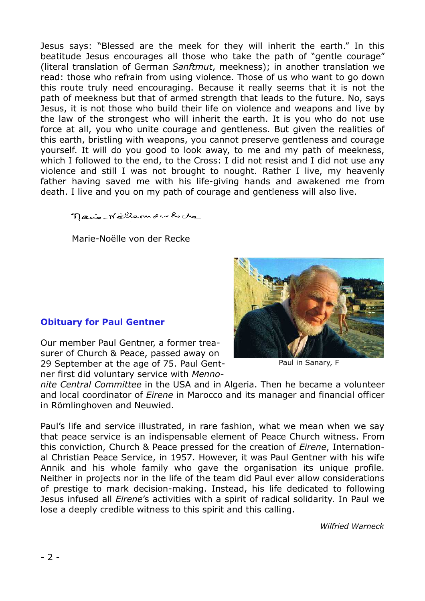Jesus says: "Blessed are the meek for they will inherit the earth." In this beatitude Jesus encourages all those who take the path of "gentle courage" (literal translation of German *Sanftmut*, meekness); in another translation we read: those who refrain from using violence. Those of us who want to go down this route truly need encouraging. Because it really seems that it is not the path of meekness but that of armed strength that leads to the future. No, says Jesus, it is not those who build their life on violence and weapons and live by the law of the strongest who will inherit the earth. It is you who do not use force at all, you who unite courage and gentleness. But given the realities of this earth, bristling with weapons, you cannot preserve gentleness and courage yourself. It will do you good to look away, to me and my path of meekness, which I followed to the end, to the Cross: I did not resist and I did not use any violence and still I was not brought to nought. Rather I live, my heavenly father having saved me with his life-giving hands and awakened me from death. I live and you on my path of courage and gentleness will also live.

nano-Northernder Reche

Marie-Noëlle von der Recke

# **Obituary for Paul Gentner**

Our member Paul Gentner, a former treasurer of Church & Peace, passed away on 29 September at the age of 75. Paul Gentner first did voluntary service with *Menno-*

Paul in Sanary, F

*nite Central Committee* in the USA and in Algeria. Then he became a volunteer and local coordinator of *Eirene* in Marocco and its manager and financial officer in Römlinghoven and Neuwied.

Paul's life and service illustrated, in rare fashion, what we mean when we say that peace service is an indispensable element of Peace Church witness. From this conviction, Church & Peace pressed for the creation of *Eirene*, International Christian Peace Service, in 1957. However, it was Paul Gentner with his wife Annik and his whole family who gave the organisation its unique profile. Neither in projects nor in the life of the team did Paul ever allow considerations of prestige to mark decision-making. Instead, his life dedicated to following Jesus infused all *Eirene*'s activities with a spirit of radical solidarity. In Paul we lose a deeply credible witness to this spirit and this calling.

*Wilfried Warneck*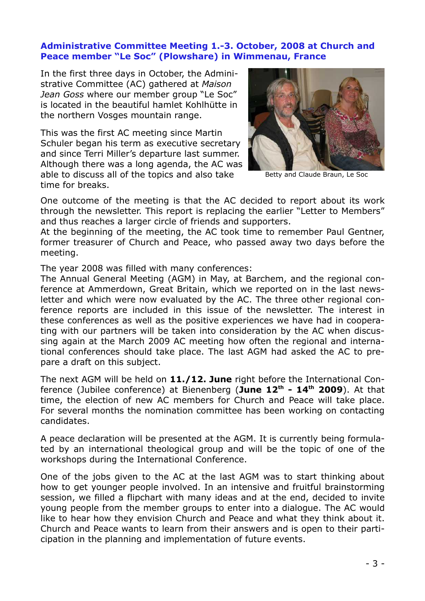#### **Administrative Committee Meeting 1.-3. October, 2008 at Church and Peace member "Le Soc" (Plowshare) in Wimmenau, France**

In the first three days in October, the Administrative Committee (AC) gathered at *Maison Jean Goss* where our member group "Le Soc" is located in the beautiful hamlet Kohlhütte in the northern Vosges mountain range.

This was the first AC meeting since Martin Schuler began his term as executive secretary and since Terri Miller's departure last summer. Although there was a long agenda, the AC was able to discuss all of the topics and also take time for breaks.



Betty and Claude Braun, Le Soc

One outcome of the meeting is that the AC decided to report about its work through the newsletter. This report is replacing the earlier "Letter to Members" and thus reaches a larger circle of friends and supporters.

At the beginning of the meeting, the AC took time to remember Paul Gentner, former treasurer of Church and Peace, who passed away two days before the meeting.

The year 2008 was filled with many conferences:

The Annual General Meeting (AGM) in May, at Barchem, and the regional conference at Ammerdown, Great Britain, which we reported on in the last newsletter and which were now evaluated by the AC. The three other regional conference reports are included in this issue of the newsletter. The interest in these conferences as well as the positive experiences we have had in cooperating with our partners will be taken into consideration by the AC when discussing again at the March 2009 AC meeting how often the regional and international conferences should take place. The last AGM had asked the AC to prepare a draft on this subject.

The next AGM will be held on **11./12. June** right before the International Conference (Jubilee conference) at Bienenberg (**June 12 th - 14 th 2009**). At that time, the election of new AC members for Church and Peace will take place. For several months the nomination committee has been working on contacting candidates.

A peace declaration will be presented at the AGM. It is currently being formulated by an international theological group and will be the topic of one of the workshops during the International Conference.

One of the jobs given to the AC at the last AGM was to start thinking about how to get younger people involved. In an intensive and fruitful brainstorming session, we filled a flipchart with many ideas and at the end, decided to invite young people from the member groups to enter into a dialogue. The AC would like to hear how they envision Church and Peace and what they think about it. Church and Peace wants to learn from their answers and is open to their participation in the planning and implementation of future events.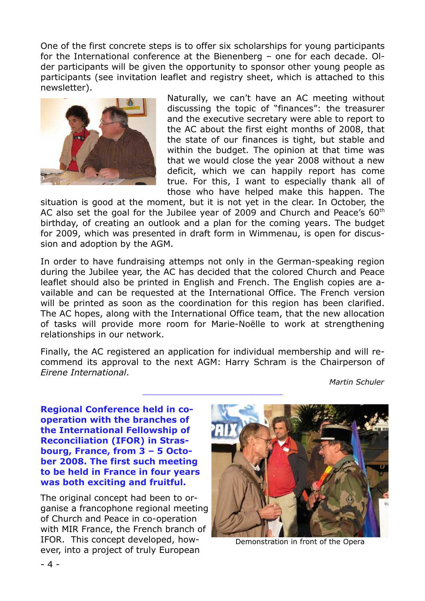One of the first concrete steps is to offer six scholarships for young participants for the International conference at the Bienenberg – one for each decade. Older participants will be given the opportunity to sponsor other young people as participants (see invitation leaflet and registry sheet, which is attached to this newsletter).



Naturally, we can't have an AC meeting without discussing the topic of "finances": the treasurer and the executive secretary were able to report to the AC about the first eight months of 2008, that the state of our finances is tight, but stable and within the budget. The opinion at that time was that we would close the year 2008 without a new deficit, which we can happily report has come true. For this, I want to especially thank all of those who have helped make this happen. The

situation is good at the moment, but it is not yet in the clear. In October, the AC also set the goal for the Jubilee year of 2009 and Church and Peace's  $60^{\text{th}}$ birthday, of creating an outlook and a plan for the coming years. The budget for 2009, which was presented in draft form in Wimmenau, is open for discussion and adoption by the AGM.

In order to have fundraising attemps not only in the German-speaking region during the Jubilee year, the AC has decided that the colored Church and Peace leaflet should also be printed in English and French. The English copies are available and can be requested at the International Office. The French version will be printed as soon as the coordination for this region has been clarified. The AC hopes, along with the International Office team, that the new allocation of tasks will provide more room for Marie-Noëlle to work at strengthening relationships in our network.

Finally, the AC registered an application for individual membership and will recommend its approval to the next AGM: Harry Schram is the Chairperson of *Eirene International*.

**\_\_\_\_\_\_\_\_\_\_\_\_\_\_\_\_\_\_\_\_\_\_\_\_\_\_\_\_\_\_\_\_\_\_\_\_\_\_\_\_\_\_\_\_\_\_**

*Martin Schuler*

**Regional Conference held in cooperation with the branches of the International Fellowship of Reconciliation (IFOR) in Strasbourg, France, from 3 – 5 October 2008. The first such meeting to be held in France in four years was both exciting and fruitful.**

The original concept had been to organise a francophone regional meeting of Church and Peace in co-operation with MIR France, the French branch of IFOR. This concept developed, however, into a project of truly European



Demonstration in front of the Opera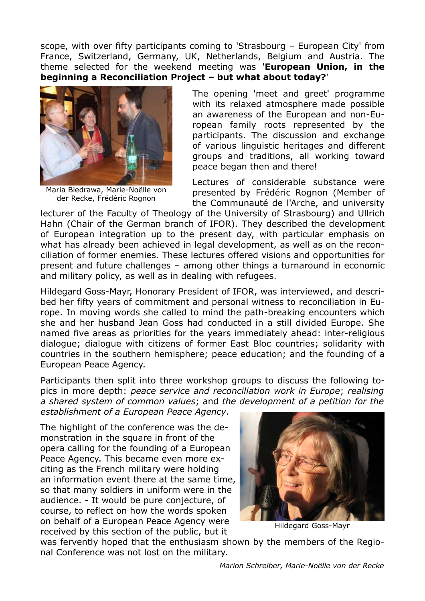scope, with over fifty participants coming to 'Strasbourg – European City' from France, Switzerland, Germany, UK, Netherlands, Belgium and Austria. The theme selected for the weekend meeting was '**European Union, in the beginning a Reconciliation Project – but what about today?**'



Maria Biedrawa, Marie-Noëlle von der Recke, Frédéric Rognon

The opening 'meet and greet' programme with its relaxed atmosphere made possible an awareness of the European and non-European family roots represented by the participants. The discussion and exchange of various linguistic heritages and different groups and traditions, all working toward peace began then and there!

Lectures of considerable substance were presented by Frédéric Rognon (Member of the Communauté de l'Arche, and university

lecturer of the Faculty of Theology of the University of Strasbourg) and Ullrich Hahn (Chair of the German branch of IFOR). They described the development of European integration up to the present day, with particular emphasis on what has already been achieved in legal development, as well as on the reconciliation of former enemies. These lectures offered visions and opportunities for present and future challenges – among other things a turnaround in economic and military policy, as well as in dealing with refugees.

Hildegard Goss-Mayr, Honorary President of IFOR, was interviewed, and described her fifty years of commitment and personal witness to reconciliation in Europe. In moving words she called to mind the path-breaking encounters which she and her husband Jean Goss had conducted in a still divided Europe. She named five areas as priorities for the years immediately ahead: inter-religious dialogue; dialogue with citizens of former East Bloc countries; solidarity with countries in the southern hemisphere; peace education; and the founding of a European Peace Agency.

Participants then split into three workshop groups to discuss the following topics in more depth: *peace service and reconciliation work in Europe*; *realising a shared system of common values*; and *the development of a petition for the*

*establishment of a European Peace Agency*.

The highlight of the conference was the demonstration in the square in front of the opera calling for the founding of a European Peace Agency. This became even more exciting as the French military were holding an information event there at the same time, so that many soldiers in uniform were in the audience. - It would be pure conjecture, of course, to reflect on how the words spoken on behalf of a European Peace Agency were received by this section of the public, but it



Hildegard Goss-Mayr

was fervently hoped that the enthusiasm shown by the members of the Regional Conference was not lost on the military.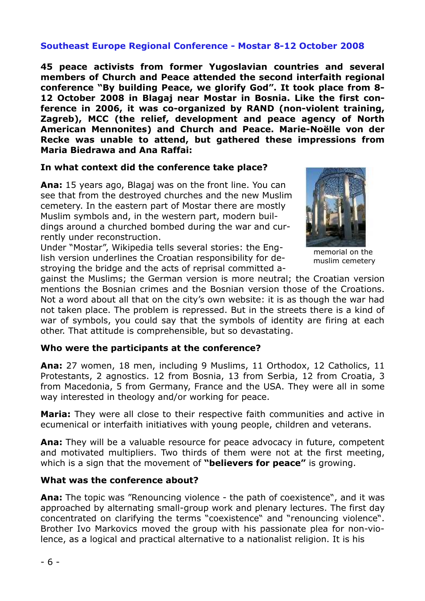## **Southeast Europe Regional Conference - Mostar 8-12 October 2008**

**45 peace activists from former Yugoslavian countries and several members of Church and Peace attended the second interfaith regional conference "By building Peace, we glorify God". It took place from 8- 12 October 2008 in Blagaj near Mostar in Bosnia. Like the first conference in 2006, it was co-organized by RAND (non-violent training, Zagreb), MCC (the relief, development and peace agency of North American Mennonites) and Church and Peace. Marie-Noëlle von der Recke was unable to attend, but gathered these impressions from Maria Biedrawa and Ana Raffai:**

#### **In what context did the conference take place?**

**Ana:** 15 years ago, Blagaj was on the front line. You can see that from the destroyed churches and the new Muslim cemetery. In the eastern part of Mostar there are mostly Muslim symbols and, in the western part, modern buildings around a churched bombed during the war and currently under reconstruction.

Under "Mostar", Wikipedia tells several stories: the English version underlines the Croatian responsibility for destroying the bridge and the acts of reprisal committed a-



gainst the Muslims; the German version is more neutral; the Croatian version mentions the Bosnian crimes and the Bosnian version those of the Croations. Not a word about all that on the city's own website: it is as though the war had not taken place. The problem is repressed. But in the streets there is a kind of war of symbols, you could say that the symbols of identity are firing at each other. That attitude is comprehensible, but so devastating.

#### **Who were the participants at the conference?**

**Ana:** 27 women, 18 men, including 9 Muslims, 11 Orthodox, 12 Catholics, 11 Protestants, 2 agnostics. 12 from Bosnia, 13 from Serbia, 12 from Croatia, 3 from Macedonia, 5 from Germany, France and the USA. They were all in some way interested in theology and/or working for peace.

**Maria:** They were all close to their respective faith communities and active in ecumenical or interfaith initiatives with young people, children and veterans.

**Ana:** They will be a valuable resource for peace advocacy in future, competent and motivated multipliers. Two thirds of them were not at the first meeting, which is a sign that the movement of **"believers for peace"** is growing.

#### **What was the conference about?**

**Ana:** The topic was "Renouncing violence - the path of coexistence", and it was approached by alternating small-group work and plenary lectures. The first day concentrated on clarifying the terms "coexistence" and "renouncing violence". Brother Ivo Markovics moved the group with his passionate plea for non-violence, as a logical and practical alternative to a nationalist religion. It is his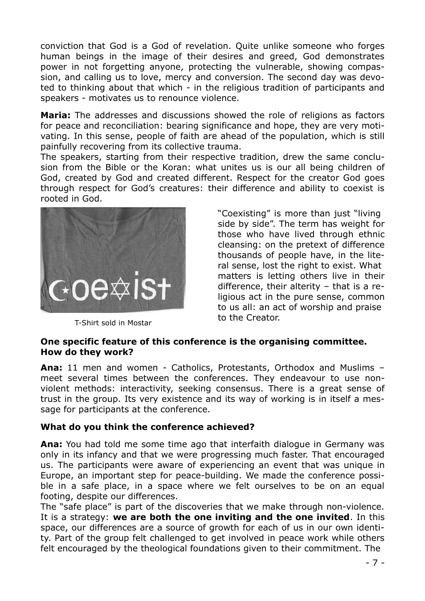conviction that God is a God of revelation. Quite unlike someone who forges human beings in the image of their desires and greed, God demonstrates power in not forgetting anyone, protecting the vulnerable, showing compassion, and calling us to love, mercy and conversion. The second day was devoted to thinking about that which - in the religious tradition of participants and speakers - motivates us to renounce violence.

**Maria:** The addresses and discussions showed the role of religions as factors for peace and reconciliation: bearing significance and hope, they are very motivating. In this sense, people of faith are ahead of the population, which is still painfully recovering from its collective trauma.

The speakers, starting from their respective tradition, drew the same conclusion from the Bible or the Koran: what unites us is our all being children of God, created by God and created different. Respect for the creator God goes through respect for God's creatures: their difference and ability to coexist is rooted in God.



T-Shirt sold in Mostar

"Coexisting" is more than just "living side by side". The term has weight for those who have lived through ethnic cleansing: on the pretext of difference thousands of people have, in the literal sense, lost the right to exist. What matters is letting others live in their difference, their alterity – that is a religious act in the pure sense, common to us all: an act of worship and praise to the Creator.

#### **One specific feature of this conference is the organising committee. How do they work?**

**Ana:** 11 men and women - Catholics, Protestants, Orthodox and Muslims – meet several times between the conferences. They endeavour to use nonviolent methods: interactivity, seeking consensus. There is a great sense of trust in the group. Its very existence and its way of working is in itself a message for participants at the conference.

# **What do you think the conference achieved?**

**Ana:** You had told me some time ago that interfaith dialogue in Germany was only in its infancy and that we were progressing much faster. That encouraged us. The participants were aware of experiencing an event that was unique in Europe, an important step for peace-building. We made the conference possible in a safe place, in a space where we felt ourselves to be on an equal footing, despite our differences.

The "safe place" is part of the discoveries that we make through non-violence. It is a strategy: **we are both the one inviting and the one invited**. In this space, our differences are a source of growth for each of us in our own identity. Part of the group felt challenged to get involved in peace work while others felt encouraged by the theological foundations given to their commitment. The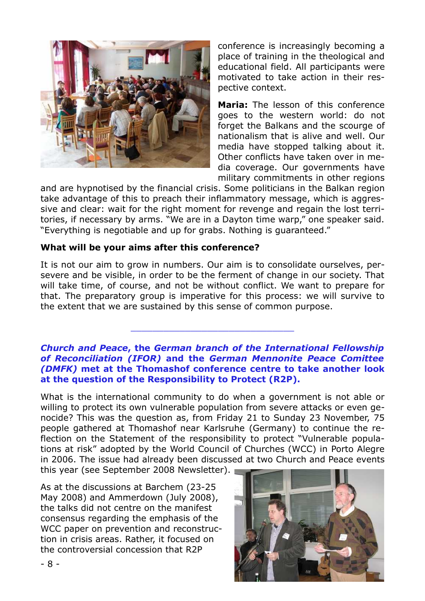

conference is increasingly becoming a place of training in the theological and educational field. All participants were motivated to take action in their respective context.

**Maria:** The lesson of this conference goes to the western world: do not forget the Balkans and the scourge of nationalism that is alive and well. Our media have stopped talking about it. Other conflicts have taken over in media coverage. Our governments have military commitments in other regions

and are hypnotised by the financial crisis. Some politicians in the Balkan region take advantage of this to preach their inflammatory message, which is aggressive and clear: wait for the right moment for revenge and regain the lost territories, if necessary by arms. "We are in a Dayton time warp," one speaker said. "Everything is negotiable and up for grabs. Nothing is guaranteed."

#### **What will be your aims after this conference?**

It is not our aim to grow in numbers. Our aim is to consolidate ourselves, persevere and be visible, in order to be the ferment of change in our society. That will take time, of course, and not be without conflict. We want to prepare for that. The preparatory group is imperative for this process: we will survive to the extent that we are sustained by this sense of common purpose.

#### *Church and Peace***, the** *German branch of the International Fellowship of Reconciliation (IFOR)* **and the** *German Mennonite Peace Comittee (DMFK)* **met at the Thomashof conference centre to take another look at the question of the Responsibility to Protect (R2P).**

\_\_\_\_\_\_\_\_\_\_\_\_\_\_\_\_\_\_\_\_\_\_\_\_\_\_\_\_\_\_

What is the international community to do when a government is not able or willing to protect its own vulnerable population from severe attacks or even genocide? This was the question as, from Friday 21 to Sunday 23 November, 75 people gathered at Thomashof near Karlsruhe (Germany) to continue the reflection on the Statement of the responsibility to protect "Vulnerable populations at risk" adopted by the World Council of Churches (WCC) in Porto Alegre in 2006. The issue had already been discussed at two Church and Peace events

this year (see September 2008 Newsletter).

As at the discussions at Barchem (23-25 May 2008) and Ammerdown (July 2008), the talks did not centre on the manifest consensus regarding the emphasis of the WCC paper on prevention and reconstruction in crisis areas. Rather, it focused on the controversial concession that R2P

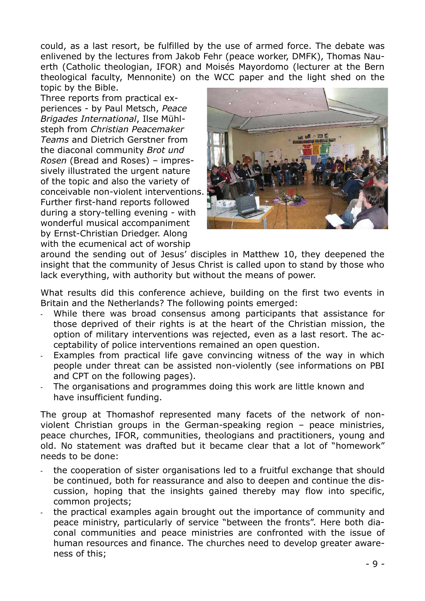could, as a last resort, be fulfilled by the use of armed force. The debate was enlivened by the lectures from Jakob Fehr (peace worker, DMFK), Thomas Nauerth (Catholic theologian, IFOR) and Moisés Mayordomo (lecturer at the Bern theological faculty, Mennonite) on the WCC paper and the light shed on the topic by the Bible.

Three reports from practical experiences - by Paul Metsch, *Peace Brigades International*, Ilse Mühlsteph from *Christian Peacemaker Teams* and Dietrich Gerstner from the diaconal community *Brot und Rosen* (Bread and Roses) – impressively illustrated the urgent nature of the topic and also the variety of conceivable non-violent interventions. Further first-hand reports followed during a story-telling evening - with wonderful musical accompaniment by Ernst-Christian Driedger. Along with the ecumenical act of worship



around the sending out of Jesus' disciples in Matthew 10, they deepened the insight that the community of Jesus Christ is called upon to stand by those who lack everything, with authority but without the means of power.

What results did this conference achieve, building on the first two events in Britain and the Netherlands? The following points emerged:

- While there was broad consensus among participants that assistance for those deprived of their rights is at the heart of the Christian mission, the option of military interventions was rejected, even as a last resort. The acceptability of police interventions remained an open question.
- Examples from practical life gave convincing witness of the way in which people under threat can be assisted non-violently (see informations on PBI and CPT on the following pages).
- The organisations and programmes doing this work are little known and have insufficient funding.

The group at Thomashof represented many facets of the network of nonviolent Christian groups in the German-speaking region – peace ministries, peace churches, IFOR, communities, theologians and practitioners, young and old. No statement was drafted but it became clear that a lot of "homework" needs to be done:

- the cooperation of sister organisations led to a fruitful exchange that should be continued, both for reassurance and also to deepen and continue the discussion, hoping that the insights gained thereby may flow into specific, common projects;
- the practical examples again brought out the importance of community and peace ministry, particularly of service "between the fronts". Here both diaconal communities and peace ministries are confronted with the issue of human resources and finance. The churches need to develop greater awareness of this;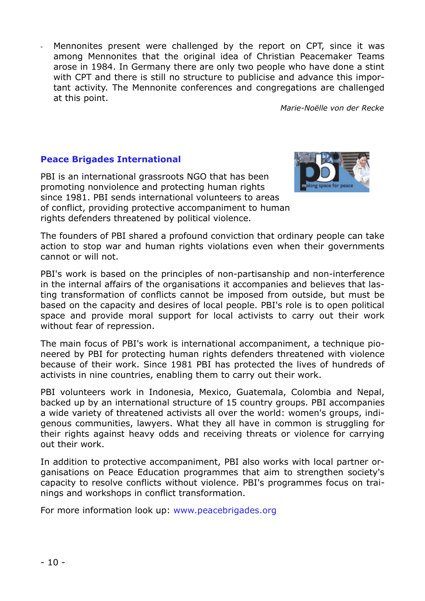Mennonites present were challenged by the report on CPT, since it was among Mennonites that the original idea of Christian Peacemaker Teams arose in 1984. In Germany there are only two people who have done a stint with CPT and there is still no structure to publicise and advance this important activity. The Mennonite conferences and congregations are challenged at this point.

*Marie-Noëlle von der Recke*

## **Peace Brigades International**

PBI is an international grassroots NGO that has been promoting nonviolence and protecting human rights since 1981. PBI sends international volunteers to areas of conflict, providing protective accompaniment to human rights defenders threatened by political violence.



The founders of PBI shared a profound conviction that ordinary people can take action to stop war and human rights violations even when their governments cannot or will not.

PBI's work is based on the principles of non-partisanship and non-interference in the internal affairs of the organisations it accompanies and believes that lasting transformation of conflicts cannot be imposed from outside, but must be based on the capacity and desires of local people. PBI's role is to open political space and provide moral support for local activists to carry out their work without fear of repression.

The main focus of PBI's work is international accompaniment, a technique pioneered by PBI for protecting human rights defenders threatened with violence because of their work. Since 1981 PBI has protected the lives of hundreds of activists in nine countries, enabling them to carry out their work.

PBI volunteers work in Indonesia, Mexico, Guatemala, Colombia and Nepal, backed up by an international structure of 15 country groups. PBI accompanies a wide variety of threatened activists all over the world: women's groups, indigenous communities, lawyers. What they all have in common is struggling for their rights against heavy odds and receiving threats or violence for carrying out their work.

In addition to protective accompaniment, PBI also works with local partner organisations on Peace Education programmes that aim to strengthen society's capacity to resolve conflicts without violence. PBI's programmes focus on trainings and workshops in conflict transformation.

For more information look up: www.peacebrigades.org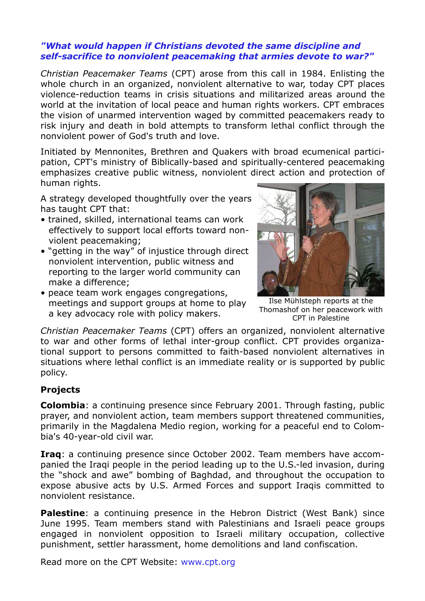#### *"What would happen if Christians devoted the same discipline and self-sacrifice to nonviolent peacemaking that armies devote to war?"*

*Christian Peacemaker Teams* (CPT) arose from this call in 1984. Enlisting the whole church in an organized, nonviolent alternative to war, today CPT places violence-reduction teams in crisis situations and militarized areas around the world at the invitation of local peace and human rights workers. CPT embraces the vision of unarmed intervention waged by committed peacemakers ready to risk injury and death in bold attempts to transform lethal conflict through the nonviolent power of God's truth and love.

Initiated by Mennonites, Brethren and Quakers with broad ecumenical participation, CPT's ministry of Biblically-based and spiritually-centered peacemaking emphasizes creative public witness, nonviolent direct action and protection of human rights.

A strategy developed thoughtfully over the years has taught CPT that:

- trained, skilled, international teams can work effectively to support local efforts toward nonviolent peacemaking;
- "getting in the way" of injustice through direct nonviolent intervention, public witness and reporting to the larger world community can make a difference;
- peace team work engages congregations, meetings and support groups at home to play a key advocacy role with policy makers.



Ilse Mühlsteph reports at the Thomashof on her peacework with CPT in Palestine

*Christian Peacemaker Teams* (CPT) offers an organized, nonviolent alternative to war and other forms of lethal inter-group conflict. CPT provides organizational support to persons committed to faith-based nonviolent alternatives in situations where lethal conflict is an immediate reality or is supported by public policy.

# **Projects**

**Colombia**: a continuing presence since February 2001. Through fasting, public prayer, and nonviolent action, team members support threatened communities, primarily in the Magdalena Medio region, working for a peaceful end to Colombia's 40-year-old civil war.

**Iraq**: a continuing presence since October 2002. Team members have accompanied the Iraqi people in the period leading up to the U.S.-led invasion, during the "shock and awe" bombing of Baghdad, and throughout the occupation to expose abusive acts by U.S. Armed Forces and support Iraqis committed to nonviolent resistance.

**Palestine**: a continuing presence in the Hebron District (West Bank) since June 1995. Team members stand with Palestinians and Israeli peace groups engaged in nonviolent opposition to Israeli military occupation, collective punishment, settler harassment, home demolitions and land confiscation.

Read more on the CPT Website: www.cpt.org